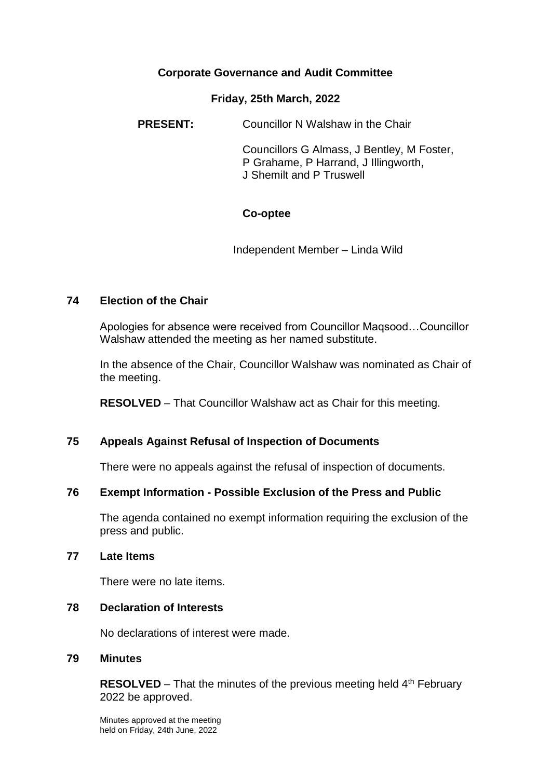## **Corporate Governance and Audit Committee**

#### **Friday, 25th March, 2022**

**PRESENT:** Councillor N Walshaw in the Chair

Councillors G Almass, J Bentley, M Foster, P Grahame, P Harrand, J Illingworth, J Shemilt and P Truswell

### **Co-optee**

Independent Member – Linda Wild

### **74 Election of the Chair**

Apologies for absence were received from Councillor Maqsood…Councillor Walshaw attended the meeting as her named substitute.

In the absence of the Chair, Councillor Walshaw was nominated as Chair of the meeting.

**RESOLVED** – That Councillor Walshaw act as Chair for this meeting.

### **75 Appeals Against Refusal of Inspection of Documents**

There were no appeals against the refusal of inspection of documents.

## **76 Exempt Information - Possible Exclusion of the Press and Public**

The agenda contained no exempt information requiring the exclusion of the press and public.

#### **77 Late Items**

There were no late items.

### **78 Declaration of Interests**

No declarations of interest were made.

#### **79 Minutes**

**RESOLVED** – That the minutes of the previous meeting held 4<sup>th</sup> February 2022 be approved.

Minutes approved at the meeting held on Friday, 24th June, 2022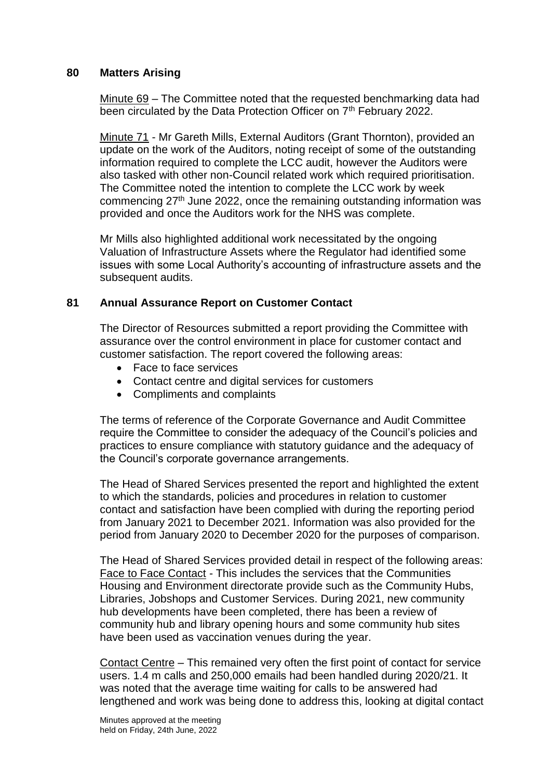### **80 Matters Arising**

Minute 69 – The Committee noted that the requested benchmarking data had been circulated by the Data Protection Officer on 7<sup>th</sup> February 2022.

Minute 71 - Mr Gareth Mills, External Auditors (Grant Thornton), provided an update on the work of the Auditors, noting receipt of some of the outstanding information required to complete the LCC audit, however the Auditors were also tasked with other non-Council related work which required prioritisation. The Committee noted the intention to complete the LCC work by week commencing  $27<sup>th</sup>$  June 2022, once the remaining outstanding information was provided and once the Auditors work for the NHS was complete.

Mr Mills also highlighted additional work necessitated by the ongoing Valuation of Infrastructure Assets where the Regulator had identified some issues with some Local Authority's accounting of infrastructure assets and the subsequent audits.

#### **81 Annual Assurance Report on Customer Contact**

The Director of Resources submitted a report providing the Committee with assurance over the control environment in place for customer contact and customer satisfaction. The report covered the following areas:

- Face to face services
- Contact centre and digital services for customers
- Compliments and complaints

The terms of reference of the Corporate Governance and Audit Committee require the Committee to consider the adequacy of the Council's policies and practices to ensure compliance with statutory guidance and the adequacy of the Council's corporate governance arrangements.

The Head of Shared Services presented the report and highlighted the extent to which the standards, policies and procedures in relation to customer contact and satisfaction have been complied with during the reporting period from January 2021 to December 2021. Information was also provided for the period from January 2020 to December 2020 for the purposes of comparison.

The Head of Shared Services provided detail in respect of the following areas: Face to Face Contact - This includes the services that the Communities Housing and Environment directorate provide such as the Community Hubs, Libraries, Jobshops and Customer Services. During 2021, new community hub developments have been completed, there has been a review of community hub and library opening hours and some community hub sites have been used as vaccination venues during the year.

Contact Centre – This remained very often the first point of contact for service users. 1.4 m calls and 250,000 emails had been handled during 2020/21. It was noted that the average time waiting for calls to be answered had lengthened and work was being done to address this, looking at digital contact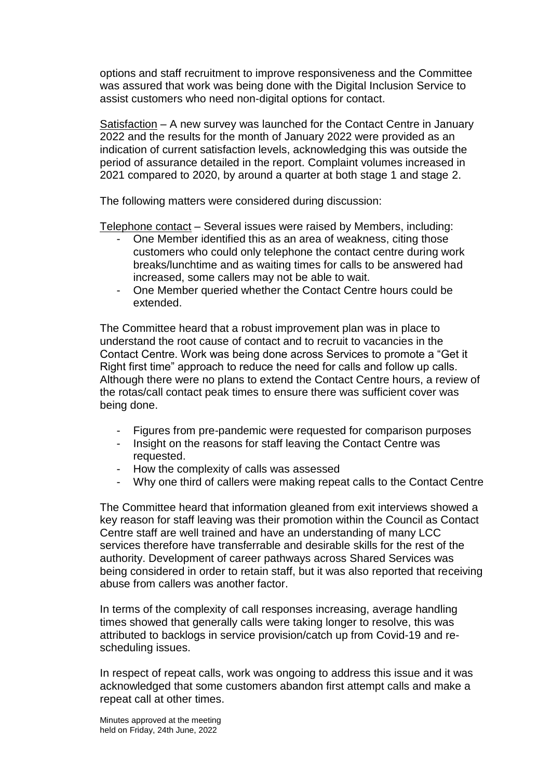options and staff recruitment to improve responsiveness and the Committee was assured that work was being done with the Digital Inclusion Service to assist customers who need non-digital options for contact.

Satisfaction – A new survey was launched for the Contact Centre in January 2022 and the results for the month of January 2022 were provided as an indication of current satisfaction levels, acknowledging this was outside the period of assurance detailed in the report. Complaint volumes increased in 2021 compared to 2020, by around a quarter at both stage 1 and stage 2.

The following matters were considered during discussion:

Telephone contact – Several issues were raised by Members, including:

- One Member identified this as an area of weakness, citing those customers who could only telephone the contact centre during work breaks/lunchtime and as waiting times for calls to be answered had increased, some callers may not be able to wait.
- One Member queried whether the Contact Centre hours could be extended.

The Committee heard that a robust improvement plan was in place to understand the root cause of contact and to recruit to vacancies in the Contact Centre. Work was being done across Services to promote a "Get it Right first time" approach to reduce the need for calls and follow up calls. Although there were no plans to extend the Contact Centre hours, a review of the rotas/call contact peak times to ensure there was sufficient cover was being done.

- Figures from pre-pandemic were requested for comparison purposes
- Insight on the reasons for staff leaving the Contact Centre was requested.
- How the complexity of calls was assessed
- Why one third of callers were making repeat calls to the Contact Centre

The Committee heard that information gleaned from exit interviews showed a key reason for staff leaving was their promotion within the Council as Contact Centre staff are well trained and have an understanding of many LCC services therefore have transferrable and desirable skills for the rest of the authority. Development of career pathways across Shared Services was being considered in order to retain staff, but it was also reported that receiving abuse from callers was another factor.

In terms of the complexity of call responses increasing, average handling times showed that generally calls were taking longer to resolve, this was attributed to backlogs in service provision/catch up from Covid-19 and rescheduling issues.

In respect of repeat calls, work was ongoing to address this issue and it was acknowledged that some customers abandon first attempt calls and make a repeat call at other times.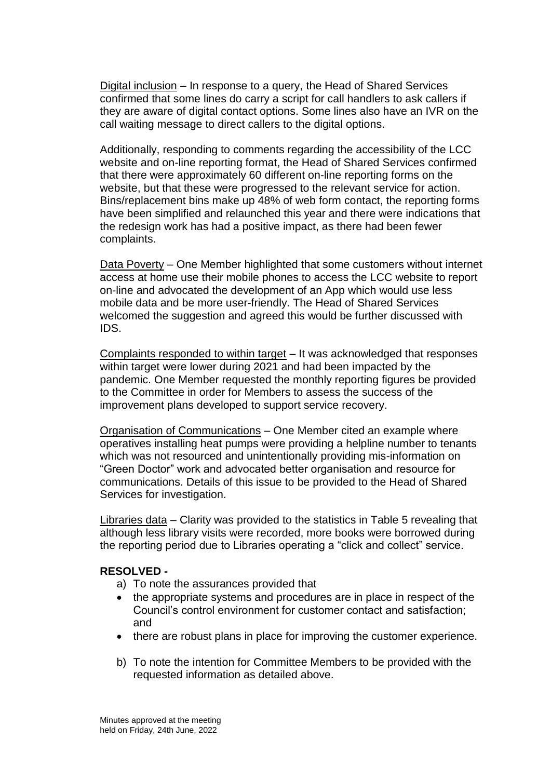Digital inclusion – In response to a query, the Head of Shared Services confirmed that some lines do carry a script for call handlers to ask callers if they are aware of digital contact options. Some lines also have an IVR on the call waiting message to direct callers to the digital options.

Additionally, responding to comments regarding the accessibility of the LCC website and on-line reporting format, the Head of Shared Services confirmed that there were approximately 60 different on-line reporting forms on the website, but that these were progressed to the relevant service for action. Bins/replacement bins make up 48% of web form contact, the reporting forms have been simplified and relaunched this year and there were indications that the redesign work has had a positive impact, as there had been fewer complaints.

Data Poverty – One Member highlighted that some customers without internet access at home use their mobile phones to access the LCC website to report on-line and advocated the development of an App which would use less mobile data and be more user-friendly. The Head of Shared Services welcomed the suggestion and agreed this would be further discussed with IDS.

Complaints responded to within target – It was acknowledged that responses within target were lower during 2021 and had been impacted by the pandemic. One Member requested the monthly reporting figures be provided to the Committee in order for Members to assess the success of the improvement plans developed to support service recovery.

Organisation of Communications – One Member cited an example where operatives installing heat pumps were providing a helpline number to tenants which was not resourced and unintentionally providing mis-information on "Green Doctor" work and advocated better organisation and resource for communications. Details of this issue to be provided to the Head of Shared Services for investigation.

Libraries data – Clarity was provided to the statistics in Table 5 revealing that although less library visits were recorded, more books were borrowed during the reporting period due to Libraries operating a "click and collect" service.

### **RESOLVED -**

- a) To note the assurances provided that
- the appropriate systems and procedures are in place in respect of the Council's control environment for customer contact and satisfaction; and
- there are robust plans in place for improving the customer experience.
- b) To note the intention for Committee Members to be provided with the requested information as detailed above.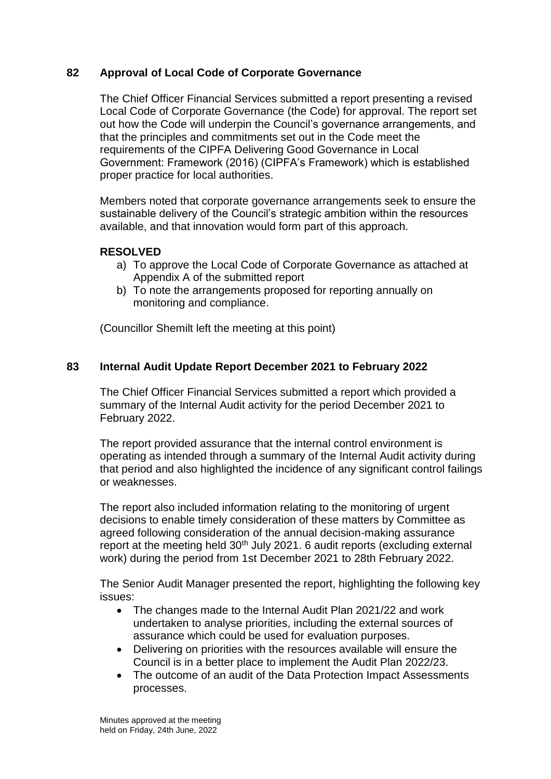## **82 Approval of Local Code of Corporate Governance**

The Chief Officer Financial Services submitted a report presenting a revised Local Code of Corporate Governance (the Code) for approval. The report set out how the Code will underpin the Council's governance arrangements, and that the principles and commitments set out in the Code meet the requirements of the CIPFA Delivering Good Governance in Local Government: Framework (2016) (CIPFA's Framework) which is established proper practice for local authorities.

Members noted that corporate governance arrangements seek to ensure the sustainable delivery of the Council's strategic ambition within the resources available, and that innovation would form part of this approach.

### **RESOLVED**

- a) To approve the Local Code of Corporate Governance as attached at Appendix A of the submitted report
- b) To note the arrangements proposed for reporting annually on monitoring and compliance.

(Councillor Shemilt left the meeting at this point)

### **83 Internal Audit Update Report December 2021 to February 2022**

The Chief Officer Financial Services submitted a report which provided a summary of the Internal Audit activity for the period December 2021 to February 2022.

The report provided assurance that the internal control environment is operating as intended through a summary of the Internal Audit activity during that period and also highlighted the incidence of any significant control failings or weaknesses.

The report also included information relating to the monitoring of urgent decisions to enable timely consideration of these matters by Committee as agreed following consideration of the annual decision-making assurance report at the meeting held 30<sup>th</sup> July 2021. 6 audit reports (excluding external work) during the period from 1st December 2021 to 28th February 2022.

The Senior Audit Manager presented the report, highlighting the following key issues:

- The changes made to the Internal Audit Plan 2021/22 and work undertaken to analyse priorities, including the external sources of assurance which could be used for evaluation purposes.
- Delivering on priorities with the resources available will ensure the Council is in a better place to implement the Audit Plan 2022/23.
- The outcome of an audit of the Data Protection Impact Assessments processes.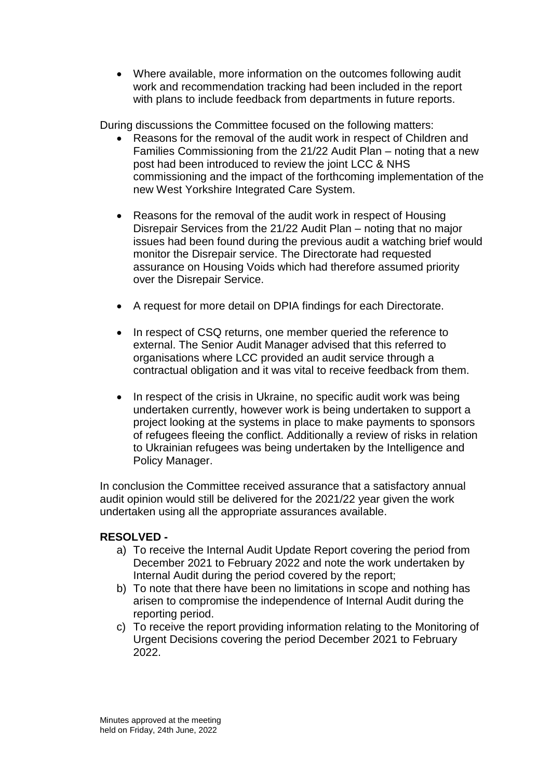Where available, more information on the outcomes following audit work and recommendation tracking had been included in the report with plans to include feedback from departments in future reports.

During discussions the Committee focused on the following matters:

- Reasons for the removal of the audit work in respect of Children and Families Commissioning from the 21/22 Audit Plan – noting that a new post had been introduced to review the joint LCC & NHS commissioning and the impact of the forthcoming implementation of the new West Yorkshire Integrated Care System.
- Reasons for the removal of the audit work in respect of Housing Disrepair Services from the 21/22 Audit Plan – noting that no major issues had been found during the previous audit a watching brief would monitor the Disrepair service. The Directorate had requested assurance on Housing Voids which had therefore assumed priority over the Disrepair Service.
- A request for more detail on DPIA findings for each Directorate.
- In respect of CSQ returns, one member queried the reference to external. The Senior Audit Manager advised that this referred to organisations where LCC provided an audit service through a contractual obligation and it was vital to receive feedback from them.
- In respect of the crisis in Ukraine, no specific audit work was being undertaken currently, however work is being undertaken to support a project looking at the systems in place to make payments to sponsors of refugees fleeing the conflict. Additionally a review of risks in relation to Ukrainian refugees was being undertaken by the Intelligence and Policy Manager.

In conclusion the Committee received assurance that a satisfactory annual audit opinion would still be delivered for the 2021/22 year given the work undertaken using all the appropriate assurances available.

# **RESOLVED -**

- a) To receive the Internal Audit Update Report covering the period from December 2021 to February 2022 and note the work undertaken by Internal Audit during the period covered by the report;
- b) To note that there have been no limitations in scope and nothing has arisen to compromise the independence of Internal Audit during the reporting period.
- c) To receive the report providing information relating to the Monitoring of Urgent Decisions covering the period December 2021 to February 2022.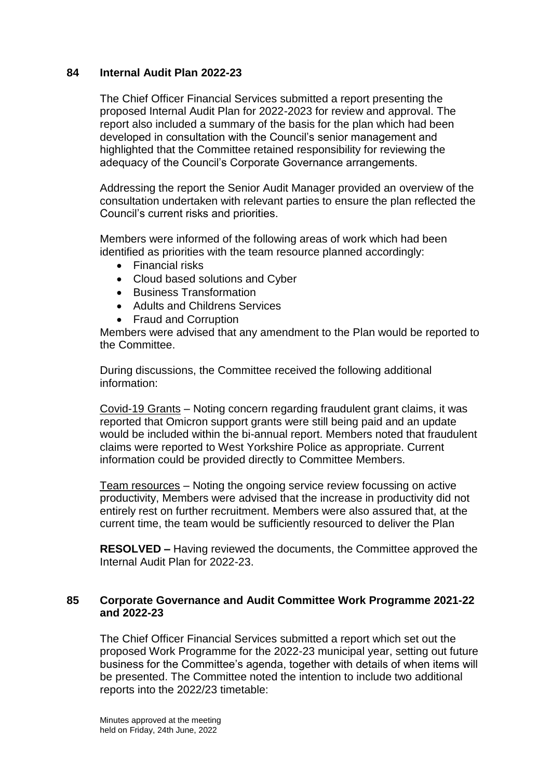### **84 Internal Audit Plan 2022-23**

The Chief Officer Financial Services submitted a report presenting the proposed Internal Audit Plan for 2022-2023 for review and approval. The report also included a summary of the basis for the plan which had been developed in consultation with the Council's senior management and highlighted that the Committee retained responsibility for reviewing the adequacy of the Council's Corporate Governance arrangements.

Addressing the report the Senior Audit Manager provided an overview of the consultation undertaken with relevant parties to ensure the plan reflected the Council's current risks and priorities.

Members were informed of the following areas of work which had been identified as priorities with the team resource planned accordingly:

- Financial risks
- Cloud based solutions and Cyber
- Business Transformation
- Adults and Childrens Services
- Fraud and Corruption

Members were advised that any amendment to the Plan would be reported to the Committee.

During discussions, the Committee received the following additional information:

Covid-19 Grants – Noting concern regarding fraudulent grant claims, it was reported that Omicron support grants were still being paid and an update would be included within the bi-annual report. Members noted that fraudulent claims were reported to West Yorkshire Police as appropriate. Current information could be provided directly to Committee Members.

Team resources – Noting the ongoing service review focussing on active productivity, Members were advised that the increase in productivity did not entirely rest on further recruitment. Members were also assured that, at the current time, the team would be sufficiently resourced to deliver the Plan

**RESOLVED –** Having reviewed the documents, the Committee approved the Internal Audit Plan for 2022-23.

#### **85 Corporate Governance and Audit Committee Work Programme 2021-22 and 2022-23**

The Chief Officer Financial Services submitted a report which set out the proposed Work Programme for the 2022-23 municipal year, setting out future business for the Committee's agenda, together with details of when items will be presented. The Committee noted the intention to include two additional reports into the 2022/23 timetable: